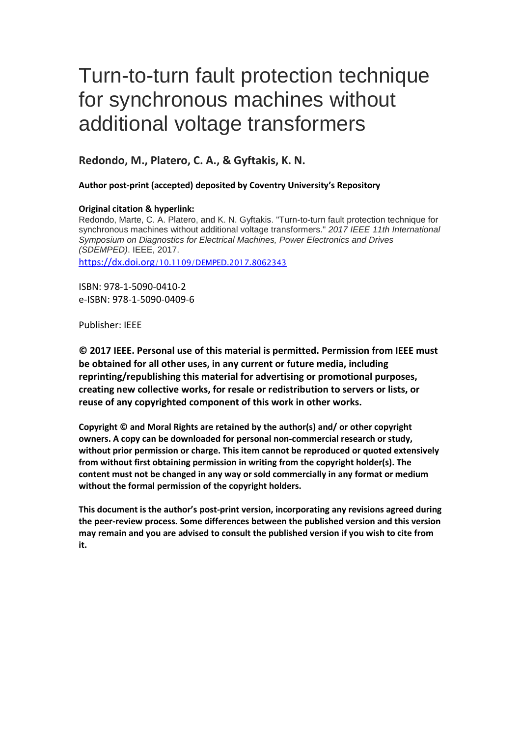# Turn-to-turn fault protection technique for synchronous machines without additional voltage transformers

## **Redondo, M., Platero, C. A., & Gyftakis, K. N.**

## **Author post-print (accepted) deposited by Coventry University's Repository**

## **Original citation & hyperlink:**

Redondo, Marte, C. A. Platero, and K. N. Gyftakis. "Turn-to-turn fault protection technique for synchronous machines without additional voltage transformers." *2017 IEEE 11th International Symposium on Diagnostics for Electrical Machines, Power Electronics and Drives (SDEMPED)*. IEEE, 2017.

https://dx.doi.org[/10.1109/DEMPED.2017.8062343](https://dx.doi.org/10.1109/DEMPED.2017.8062343)

ISBN: 978-1-5090-0410-2 e-ISBN: 978-1-5090-0409-6

## Publisher: IEEE

**© 2017 IEEE. Personal use of this material is permitted. Permission from IEEE must be obtained for all other uses, in any current or future media, including reprinting/republishing this material for advertising or promotional purposes, creating new collective works, for resale or redistribution to servers or lists, or reuse of any copyrighted component of this work in other works.**

**Copyright © and Moral Rights are retained by the author(s) and/ or other copyright owners. A copy can be downloaded for personal non-commercial research or study, without prior permission or charge. This item cannot be reproduced or quoted extensively from without first obtaining permission in writing from the copyright holder(s). The content must not be changed in any way or sold commercially in any format or medium without the formal permission of the copyright holders.** 

**This document is the author's post-print version, incorporating any revisions agreed during the peer-review process. Some differences between the published version and this version may remain and you are advised to consult the published version if you wish to cite from it.**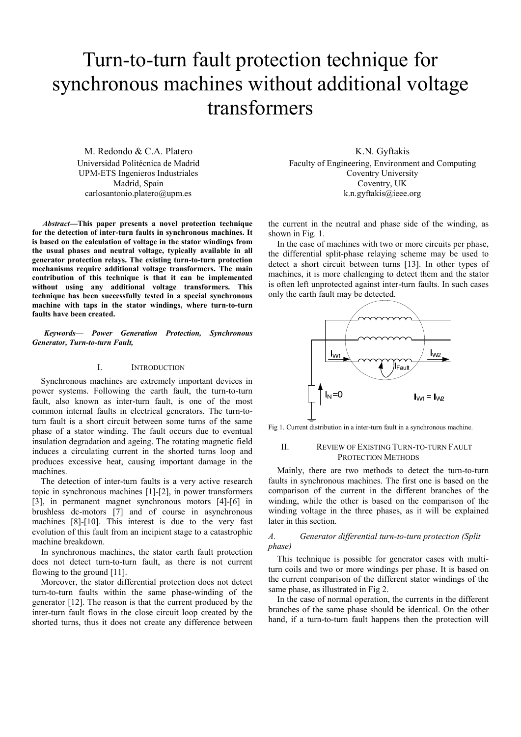## Turn-to-turn fault protection technique for synchronous machines without additional voltage transformers

M. Redondo & C.A. Platero Universidad Politécnica de Madrid UPM-ETS Ingenieros Industriales Madrid, Spain carlosantonio.platero@upm.es

*Abstract***—This paper presents a novel protection technique for the detection of inter-turn faults in synchronous machines. It is based on the calculation of voltage in the stator windings from the usual phases and neutral voltage, typically available in all generator protection relays. The existing turn-to-turn protection mechanisms require additional voltage transformers. The main contribution of this technique is that it can be implemented without using any additional voltage transformers. This technique has been successfully tested in a special synchronous machine with taps in the stator windings, where turn-to-turn faults have been created.** 

*Keywords— Power Generation Protection, Synchronous Generator, Turn-to-turn Fault,* 

### I. INTRODUCTION

Synchronous machines are extremely important devices in power systems. Following the earth fault, the turn-to-turn fault, also known as inter-turn fault, is one of the most common internal faults in electrical generators. The turn-toturn fault is a short circuit between some turns of the same phase of a stator winding. The fault occurs due to eventual insulation degradation and ageing. The rotating magnetic field induces a circulating current in the shorted turns loop and produces excessive heat, causing important damage in the machines.

The detection of inter-turn faults is a very active research topic in synchronous machines [1]-[2], in power transformers [3], in permanent magnet synchronous motors [4]-[6] in brushless dc-motors [7] and of course in asynchronous machines [8]-[10]. This interest is due to the very fast evolution of this fault from an incipient stage to a catastrophic machine breakdown.

In synchronous machines, the stator earth fault protection does not detect turn-to-turn fault, as there is not current flowing to the ground [11].

Moreover, the stator differential protection does not detect turn-to-turn faults within the same phase-winding of the generator [12]. The reason is that the current produced by the inter-turn fault flows in the close circuit loop created by the shorted turns, thus it does not create any difference between

K.N. Gyftakis Faculty of Engineering, Environment and Computing Coventry University Coventry, UK k.n.gyftakis@ieee.org

the current in the neutral and phase side of the winding, as shown in Fig. 1.

In the case of machines with two or more circuits per phase, the differential split-phase relaying scheme may be used to detect a short circuit between turns [13]. In other types of machines, it is more challenging to detect them and the stator is often left unprotected against inter-turn faults. In such cases only the earth fault may be detected.



Fig 1. Current distribution in a inter-turn fault in a synchronous machine.

## II. REVIEW OF EXISTING TURN-TO-TURN FAULT PROTECTION METHODS

Mainly, there are two methods to detect the turn-to-turn faults in synchronous machines. The first one is based on the comparison of the current in the different branches of the winding, while the other is based on the comparison of the winding voltage in the three phases, as it will be explained later in this section.

## *A. Generator differential turn-to-turn protection (Split phase)*

This technique is possible for generator cases with multiturn coils and two or more windings per phase. It is based on the current comparison of the different stator windings of the same phase, as illustrated in Fig 2.

In the case of normal operation, the currents in the different branches of the same phase should be identical. On the other hand, if a turn-to-turn fault happens then the protection will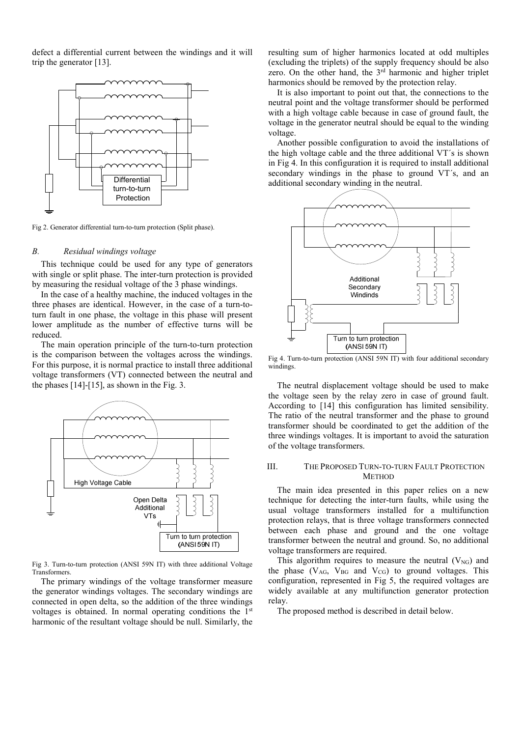defect a differential current between the windings and it will trip the generator [13].



Fig 2. Generator differential turn-to-turn protection (Split phase).

#### *B. Residual windings voltage*

This technique could be used for any type of generators with single or split phase. The inter-turn protection is provided by measuring the residual voltage of the 3 phase windings.

In the case of a healthy machine, the induced voltages in the three phases are identical. However, in the case of a turn-toturn fault in one phase, the voltage in this phase will present lower amplitude as the number of effective turns will be reduced.

The main operation principle of the turn-to-turn protection is the comparison between the voltages across the windings. For this purpose, it is normal practice to install three additional voltage transformers (VT) connected between the neutral and the phases [14]-[15], as shown in the Fig. 3.



Fig 3. Turn-to-turn protection (ANSI 59N IT) with three additional Voltage Transformers.

The primary windings of the voltage transformer measure the generator windings voltages. The secondary windings are connected in open delta, so the addition of the three windings voltages is obtained. In normal operating conditions the 1st harmonic of the resultant voltage should be null. Similarly, the

resulting sum of higher harmonics located at odd multiples (excluding the triplets) of the supply frequency should be also zero. On the other hand, the 3<sup>rd</sup> harmonic and higher triplet harmonics should be removed by the protection relay.

It is also important to point out that, the connections to the neutral point and the voltage transformer should be performed with a high voltage cable because in case of ground fault, the voltage in the generator neutral should be equal to the winding voltage.

Another possible configuration to avoid the installations of the high voltage cable and the three additional VT´s is shown in Fig 4. In this configuration it is required to install additional secondary windings in the phase to ground VT´s, and an additional secondary winding in the neutral.



Fig 4. Turn-to-turn protection (ANSI 59N IT) with four additional secondary windings.

The neutral displacement voltage should be used to make the voltage seen by the relay zero in case of ground fault. According to [14] this configuration has limited sensibility. The ratio of the neutral transformer and the phase to ground transformer should be coordinated to get the addition of the three windings voltages. It is important to avoid the saturation of the voltage transformers.

## III. THE PROPOSED TURN-TO-TURN FAULT PROTECTION **METHOD**

The main idea presented in this paper relies on a new technique for detecting the inter-turn faults, while using the usual voltage transformers installed for a multifunction protection relays, that is three voltage transformers connected between each phase and ground and the one voltage transformer between the neutral and ground. So, no additional voltage transformers are required.

This algorithm requires to measure the neutral  $(V_{NG})$  and the phase  $(V_{AG}, V_{BG}$  and  $V_{CG})$  to ground voltages. This configuration, represented in Fig 5, the required voltages are widely available at any multifunction generator protection relay.

The proposed method is described in detail below.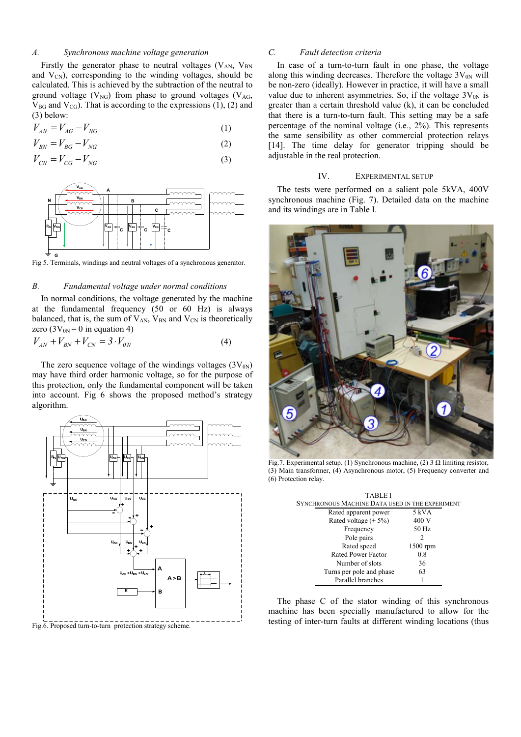## *A. Synchronous machine voltage generation*

Firstly the generator phase to neutral voltages  $(V_{AN}$ ,  $V_{BN}$ and  $V_{CN}$ ), corresponding to the winding voltages, should be calculated. This is achieved by the subtraction of the neutral to ground voltage  $(V_{NG})$  from phase to ground voltages  $(V_{AG})$  $V_{BG}$  and  $V_{CG}$ ). That is according to the expressions (1), (2) and (3) below:

$$
V_{AN} = V_{AG} - V_{NG} \tag{1}
$$

$$
V_{BN} = V_{BG} - V_{NG}
$$
\n<sup>(2)</sup>

$$
V_{CN} = V_{CG} - V_{NG}
$$
\n
$$
\tag{3}
$$



Fig 5. Terminals, windings and neutral voltages of a synchronous generator.

### *B. Fundamental voltage under normal conditions*

In normal conditions, the voltage generated by the machine at the fundamental frequency (50 or 60 Hz) is always balanced, that is, the sum of  $V_{AN}$ ,  $V_{BN}$  and  $V_{CN}$  is theoretically zero ( $3V_{0N} = 0$  in equation 4)

$$
V_{AN} + V_{BN} + V_{CN} = 3 \cdot V_{0N}
$$
 (4)

The zero sequence voltage of the windings voltages  $(3V_{0N})$ may have third order harmonic voltage, so for the purpose of this protection, only the fundamental component will be taken into account. Fig 6 shows the proposed method's strategy algorithm.



Fig.6. Proposed turn-to-turn protection strategy scheme.

## *C. Fault detection criteria*

In case of a turn-to-turn fault in one phase, the voltage along this winding decreases. Therefore the voltage  $3V_{0N}$  will be non-zero (ideally). However in practice, it will have a small value due to inherent asymmetries. So, if the voltage  $3V_{0N}$  is greater than a certain threshold value (k), it can be concluded that there is a turn-to-turn fault. This setting may be a safe percentage of the nominal voltage (i.e., 2%). This represents the same sensibility as other commercial protection relays [14]. The time delay for generator tripping should be adjustable in the real protection.

## IV. EXPERIMENTAL SETUP

The tests were performed on a salient pole 5kVA, 400V synchronous machine (Fig. 7). Detailed data on the machine and its windings are in Table I.



Fig.7. Experimental setup. (1) Synchronous machine, (2) 3 Ω limiting resistor, (3) Main transformer, (4) Asynchronous motor, (5) Frequency converter and (6) Protection relay.

| <b>TABLE I</b>                                  |          |  |  |
|-------------------------------------------------|----------|--|--|
| SYNCHRONOUS MACHINE DATA USED IN THE EXPERIMENT |          |  |  |
| Rated apparent power                            | 5 kVA    |  |  |
| Rated voltage $(\pm 5\%)$                       | 400 V    |  |  |
| Frequency                                       | 50 Hz    |  |  |
| Pole pairs                                      | 2        |  |  |
| Rated speed                                     | 1500 rpm |  |  |
| Rated Power Factor                              | 0.8      |  |  |
| Number of slots                                 | 36       |  |  |
| Turns per pole and phase                        | 63       |  |  |
| Parallel branches                               |          |  |  |

The phase C of the stator winding of this synchronous machine has been specially manufactured to allow for the testing of inter-turn faults at different winding locations (thus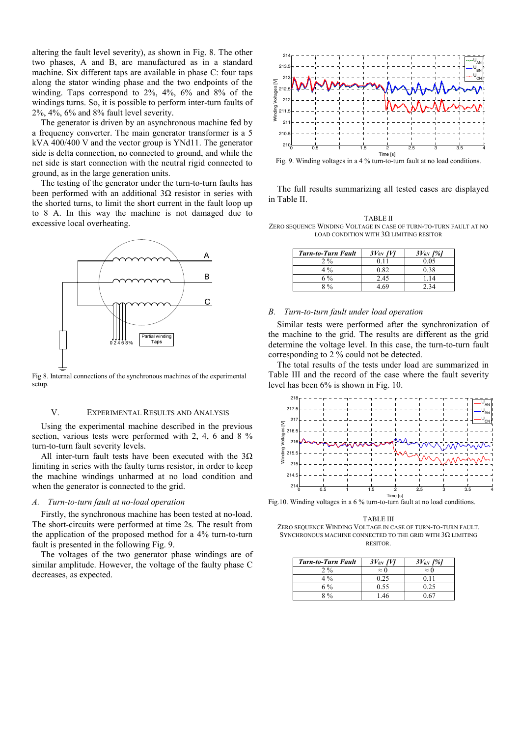altering the fault level severity), as shown in Fig. 8. The other two phases, A and B, are manufactured as in a standard machine. Six different taps are available in phase C: four taps along the stator winding phase and the two endpoints of the winding. Taps correspond to 2%, 4%, 6% and 8% of the windings turns. So, it is possible to perform inter-turn faults of 2%, 4%, 6% and 8% fault level severity.

The generator is driven by an asynchronous machine fed by a frequency converter. The main generator transformer is a 5 kVA 400/400 V and the vector group is YNd11. The generator side is delta connection, no connected to ground, and while the net side is start connection with the neutral rigid connected to ground, as in the large generation units.

The testing of the generator under the turn-to-turn faults has been performed with an additional 3Ω resistor in series with the shorted turns, to limit the short current in the fault loop up to 8 A. In this way the machine is not damaged due to excessive local overheating.



Fig 8. Internal connections of the synchronous machines of the experimental setup.

### V. EXPERIMENTAL RESULTS AND ANALYSIS

Using the experimental machine described in the previous section, various tests were performed with 2, 4, 6 and 8 % turn-to-turn fault severity levels.

All inter-turn fault tests have been executed with the  $3\Omega$ limiting in series with the faulty turns resistor, in order to keep the machine windings unharmed at no load condition and when the generator is connected to the grid.

## *A. Turn-to-turn fault at no-load operation*

Firstly, the synchronous machine has been tested at no-load. The short-circuits were performed at time 2s. The result from the application of the proposed method for a 4% turn-to-turn fault is presented in the following Fig. 9.

The voltages of the two generator phase windings are of similar amplitude. However, the voltage of the faulty phase C decreases, as expected.



Fig. 9. Winding voltages in a 4 % turn-to-turn fault at no load conditions.

The full results summarizing all tested cases are displayed in Table II.

TABLE II ZERO SEQUENCE WINDING VOLTAGE IN CASE OF TURN-TO-TURN FAULT AT NO LOAD CONDITION WITH  $3\Omega$  LIMITING RESITOR

| <b>Turn-to-Turn Fault</b> | $3V_{\varnothing N}$ [V] | $3V_{0N}$ [%] |
|---------------------------|--------------------------|---------------|
| 2.9 <sub>0</sub>          | 0.11                     | 0.05          |
| 4 %                       | 0.82                     | 0.38          |
| 6 %                       | 2.45                     | 1.14          |
| $8\frac{0}{6}$            | 4 69                     | 7 34          |

#### *B. Turn-to-turn fault under load operation*

Similar tests were performed after the synchronization of the machine to the grid. The results are different as the grid determine the voltage level. In this case, the turn-to-turn fault corresponding to 2 % could not be detected.

The total results of the tests under load are summarized in Table III and the record of the case where the fault severity level has been 6% is shown in Fig. 10.



Fig.10. Winding voltages in a 6 % turn-to-turn fault at no load conditions.

TABLE III ZERO SEQUENCE WINDING VOLTAGE IN CASE OF TURN-TO-TURN FAULT. SYNCHRONOUS MACHINE CONNECTED TO THE GRID WITH  $3\Omega$  LIMITING

RESITOR.

| <b>Turn-to-Turn Fault</b> | $3V_{\varnothing N}$ [V] | $3V_{0N}$ [%] |
|---------------------------|--------------------------|---------------|
| 2.9 <sub>0</sub>          | $\approx 0$              | $\approx 0$   |
| $4\%$                     | 0.25                     | 0 1 1         |
| 6 %                       | 0.55                     | 0.25          |
| $\frac{0}{2}$             |                          |               |